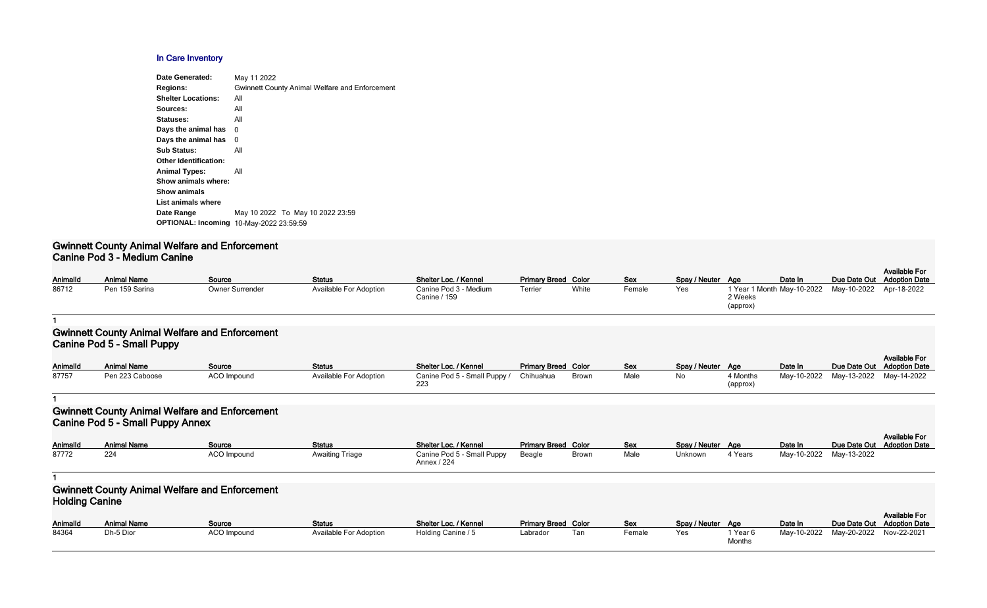#### **In Care Inventory**

| <b>Date Generated:</b>       | May 11 2022                                           |
|------------------------------|-------------------------------------------------------|
| <b>Regions:</b>              | <b>Gwinnett County Animal Welfare and Enforcement</b> |
| <b>Shelter Locations:</b>    | All                                                   |
| Sources:                     | All                                                   |
| Statuses:                    | All                                                   |
| Days the animal has          | 0                                                     |
| Days the animal has          | 0                                                     |
| <b>Sub Status:</b>           | All                                                   |
| <b>Other Identification:</b> |                                                       |
| <b>Animal Types:</b>         | All                                                   |
| Show animals where:          |                                                       |
| <b>Show animals</b>          |                                                       |
| List animals where           |                                                       |
| Date Range                   | May 10 2022 To May 10 2022 23:59                      |
| <b>OPTIONAL: Incoming</b>    | 10-May-2022 23:59:59                                  |
|                              |                                                       |

#### **Gwinnett County Animal Welfare and Enforcement Canine Pod 3 - Medium Canine**

| Animalld | <b>Animal Name</b> | Source                 | <b>Status</b>          | Shelter Loc. / Kennel | <b>Primary Breed Color</b> |       | <b>Sex</b> | Spay / Neuter Age |         | Date In                    | Due Date Out |
|----------|--------------------|------------------------|------------------------|-----------------------|----------------------------|-------|------------|-------------------|---------|----------------------------|--------------|
| 86712    | Pen 159 Sarina     | <b>Owner Surrender</b> | Available For Adoption | Canine Pod 3 - Medium | Terrier                    | White | Female     | Yes               |         | 1 Year 1 Month May-10-2022 | May-10-2022  |
|          |                    |                        |                        | Canine / 159          |                            |       |            |                   | 2 Weeks |                            |              |

| Spay / Neuter | Age                                               | Date In | Due Date Out Adoption Date | <b>Available For</b> |
|---------------|---------------------------------------------------|---------|----------------------------|----------------------|
| Yes.          | 1 Year 1 Month May-10-2022<br>2 Weeks<br>(approx) |         | May-10-2022 Apr-18-2022    |                      |

#### **1**

### **Gwinnett County Animal Welfare and Enforcement Canine Pod 5 - Small Puppy**

| AnimalId | Animal Name     | Source             | <b>Status</b>                 | Shelter Loc. / Kennel                  | <b>Primary Breed Color</b> |              | <b>Sex</b> | Spay / Neuter Age |          | Date In                 | Due Date Out |
|----------|-----------------|--------------------|-------------------------------|----------------------------------------|----------------------------|--------------|------------|-------------------|----------|-------------------------|--------------|
| 87757    | Pen 223 Caboose | <b>ACO Impound</b> | <b>Available For Adoption</b> | Canine Pod 5 - Small Puppy / Chihuahua |                            | <b>Brown</b> | Male       | No                | 4 Months | May-10-2022 May-13-2022 |              |
|          |                 |                    |                               | 223                                    |                            |              |            |                   | (approx) |                         |              |

| Spay / Neuter | Age                  | Date In     | Due Date Out | <b>Available For</b><br><b>Adoption Date</b> |
|---------------|----------------------|-------------|--------------|----------------------------------------------|
| Nο            | 4 Months<br>(approx) | May-10-2022 | May-13-2022  | May-14-2022                                  |

#### **1**

### **Gwinnett County Animal Welfare and Enforcement Canine Pod 5 - Small Puppy Annex**

|                 |                    |               |                        |                                           |                            |              |      |                   |         |                         | <b>Available For</b>       |
|-----------------|--------------------|---------------|------------------------|-------------------------------------------|----------------------------|--------------|------|-------------------|---------|-------------------------|----------------------------|
| <b>AnimalId</b> | <b>Animal Name</b> | <b>Source</b> | <b>Status</b>          | Shelter Loc. / Kennel                     | <b>Primary Breed Color</b> |              | Sex  | Spay / Neuter Age |         | Date In                 | Due Date Out Adoption Date |
| 87772           |                    | ACO Impound   | <b>Awaiting Triage</b> | Canine Pod 5 - Small Puppy<br>Annex / 224 | Beagle                     | <b>Brown</b> | Male | Unknown           | 4 Years | May-10-2022 May-13-2022 |                            |

**1**

## **Gwinnett County Animal Welfare and Enforcement Holding Canine**

| <b>AnimalId</b> | <b>Animal Name</b> | <b>Source</b> | <b>Status</b>          | Shelter Loc. / Kennel | <b>Primary Breed Color</b> |     | <b>Sex</b> | Spay / Neuter Age |          | Date In                 | Due Date Out |
|-----------------|--------------------|---------------|------------------------|-----------------------|----------------------------|-----|------------|-------------------|----------|-------------------------|--------------|
| 84364           | Dh-5 Dior          | ACO Impound   | Available For Adoption | Holding Canine / 5    | Labrador                   | Tan | Female     | Yes               | 1 Year 6 | May-10-2022 May-20-2022 |              |
|                 |                    |               |                        |                       |                            |     |            |                   | Months   |                         |              |

| Spay / Neuter | Age                | Date In     | Due Date Out | <b>Available For</b><br><b>Adoption Date</b> |
|---------------|--------------------|-------------|--------------|----------------------------------------------|
| Yes.          | 1 Year 6<br>Months | May-10-2022 | May-20-2022  | Nov-22-2021                                  |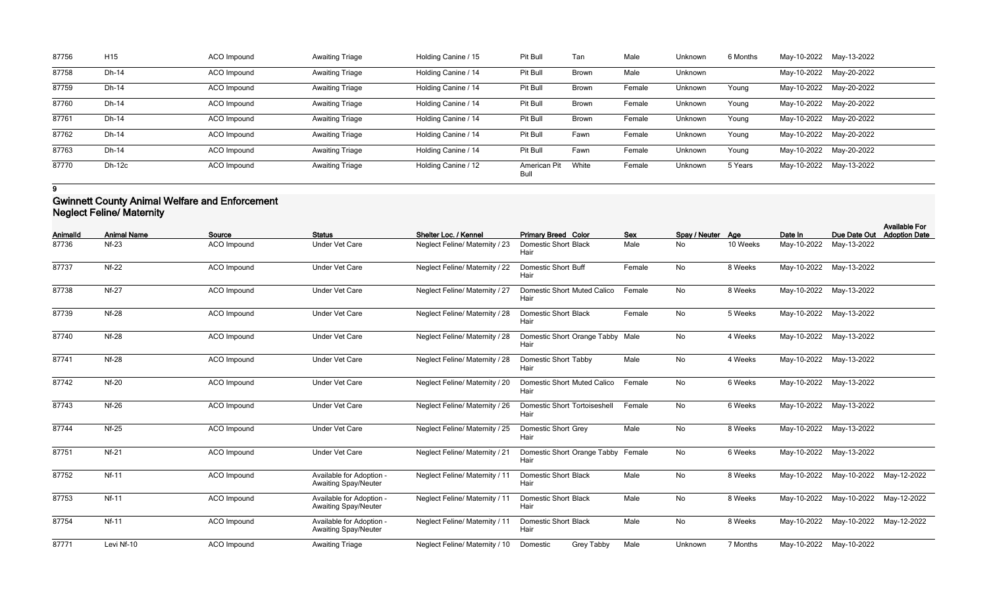| 87756 | H <sub>15</sub> | ACO Impound | <b>Awaiting Triage</b> | Holding Canine / 15 | Pit Bull             | Tan          | Male   | Unknown | 6 Months |                         | May-10-2022 May-13-2022 |
|-------|-----------------|-------------|------------------------|---------------------|----------------------|--------------|--------|---------|----------|-------------------------|-------------------------|
| 87758 | Dh-14           | ACO Impound | <b>Awaiting Triage</b> | Holding Canine / 14 | Pit Bull             | <b>Brown</b> | Male   | Unknown |          | May-10-2022 May-20-2022 |                         |
| 87759 | Dh-14           | ACO Impound | <b>Awaiting Triage</b> | Holding Canine / 14 | Pit Bull             | <b>Brown</b> | Female | Unknown | Young    | May-10-2022 May-20-2022 |                         |
| 87760 | Dh-14           | ACO Impound | <b>Awaiting Triage</b> | Holding Canine / 14 | Pit Bull             | <b>Brown</b> | Female | Unknown | Young    | May-10-2022 May-20-2022 |                         |
| 87761 | Dh-14           | ACO Impound | <b>Awaiting Triage</b> | Holding Canine / 14 | Pit Bull             | <b>Brown</b> | Female | Unknown | Young    | May-10-2022 May-20-2022 |                         |
| 87762 | Dh-14           | ACO Impound | <b>Awaiting Triage</b> | Holding Canine / 14 | Pit Bull             | Fawn         | Female | Unknown | Young    | May-10-2022 May-20-2022 |                         |
| 87763 | Dh-14           | ACO Impound | <b>Awaiting Triage</b> | Holding Canine / 14 | Pit Bull             | Fawn         | Female | Unknown | Young    | May-10-2022 May-20-2022 |                         |
| 87770 | <b>Dh-12c</b>   | ACO Impound | <b>Awaiting Triage</b> | Holding Canine / 12 | American Pit<br>Bull | White        | Female | Unknown | 5 Years  | May-10-2022 May-13-2022 |                         |

**9**

## **Gwinnett County Animal Welfare and Enforcement Neglect Feline/ Maternity**

| <b>AnimalId</b> | <b>Animal Name</b> | Source             | <b>Status</b>                                           | Shelter Loc. / Kennel                 | <b>Primary Breed Color</b>                  | <b>Sex</b> | Spay / Neuter Age |          | Date In     | Due Date Out            | <b>Available For</b><br><b>Adoption Date</b> |
|-----------------|--------------------|--------------------|---------------------------------------------------------|---------------------------------------|---------------------------------------------|------------|-------------------|----------|-------------|-------------------------|----------------------------------------------|
| 87736           | $Nf-23$            | <b>ACO</b> Impound | <b>Under Vet Care</b>                                   | <b>Neglect Feline/ Maternity / 23</b> | <b>Domestic Short Black</b><br>Hair         | Male       | No                | 10 Weeks | May-10-2022 | May-13-2022             |                                              |
| 87737           | $Nf-22$            | <b>ACO</b> Impound | <b>Under Vet Care</b>                                   | Neglect Feline/ Maternity / 22        | <b>Domestic Short Buff</b><br>Hair          | Female     | No                | 8 Weeks  | May-10-2022 | May-13-2022             |                                              |
| 87738           | <b>Nf-27</b>       | <b>ACO</b> Impound | <b>Under Vet Care</b>                                   | <b>Neglect Feline/ Maternity / 27</b> | <b>Domestic Short Muted Calico</b><br>Hair  | Female     | No                | 8 Weeks  |             | May-10-2022 May-13-2022 |                                              |
| 87739           | <b>Nf-28</b>       | <b>ACO</b> Impound | <b>Under Vet Care</b>                                   | <b>Neglect Feline/ Maternity / 28</b> | <b>Domestic Short Black</b><br>Hair         | Female     | No                | 5 Weeks  | May-10-2022 | May-13-2022             |                                              |
| 87740           | <b>Nf-28</b>       | <b>ACO</b> Impound | <b>Under Vet Care</b>                                   | <b>Neglect Feline/ Maternity / 28</b> | Domestic Short Orange Tabby Male<br>Hair    |            | No                | 4 Weeks  |             | May-10-2022 May-13-2022 |                                              |
| 87741           | <b>Nf-28</b>       | ACO Impound        | <b>Under Vet Care</b>                                   | Neglect Feline/ Maternity / 28        | <b>Domestic Short Tabby</b><br>Hair         | Male       | No                | 4 Weeks  |             | May-10-2022 May-13-2022 |                                              |
| 87742           | <b>Nf-20</b>       | ACO Impound        | <b>Under Vet Care</b>                                   | Neglect Feline/ Maternity / 20        | <b>Domestic Short Muted Calico</b><br>Hair  | Female     | No                | 6 Weeks  | May-10-2022 | May-13-2022             |                                              |
| 87743           | <b>Nf-26</b>       | ACO Impound        | <b>Under Vet Care</b>                                   | Neglect Feline/ Maternity / 26        | <b>Domestic Short Tortoiseshell</b><br>Hair | Female     | No                | 6 Weeks  | May-10-2022 | May-13-2022             |                                              |
| 87744           | $Nf-25$            | ACO Impound        | <b>Under Vet Care</b>                                   | Neglect Feline/ Maternity / 25        | <b>Domestic Short Grey</b><br>Hair          | Male       | No                | 8 Weeks  |             | May-10-2022 May-13-2022 |                                              |
| 87751           | $Nf-21$            | <b>ACO</b> Impound | <b>Under Vet Care</b>                                   | <b>Neglect Feline/ Maternity / 21</b> | Domestic Short Orange Tabby<br>Hair         | Female     | No                | 6 Weeks  |             | May-10-2022 May-13-2022 |                                              |
| 87752           | <b>Nf-11</b>       | ACO Impound        | Available for Adoption -<br><b>Awaiting Spay/Neuter</b> | Neglect Feline/ Maternity / 11        | <b>Domestic Short Black</b><br>Hair         | Male       | No                | 8 Weeks  | May-10-2022 | May-10-2022             | May-12-2022                                  |
| 87753           | <b>Nf-11</b>       | ACO Impound        | Available for Adoption<br><b>Awaiting Spay/Neuter</b>   | Neglect Feline/ Maternity / 11        | <b>Domestic Short Black</b><br>Hair         | Male       | No                | 8 Weeks  |             | May-10-2022 May-10-2022 | May-12-2022                                  |
| 87754           | <b>Nf-11</b>       | <b>ACO</b> Impound | Available for Adoption -<br><b>Awaiting Spay/Neuter</b> | Neglect Feline/ Maternity / 11        | <b>Domestic Short Black</b><br>Hair         | Male       | No                | 8 Weeks  | May-10-2022 | May-10-2022             | May-12-2022                                  |
| 87771           | Levi Nf-10         | <b>ACO</b> Impound | <b>Awaiting Triage</b>                                  | Neglect Feline/ Maternity / 10        | <b>Grey Tabby</b><br>Domestic               | Male       | Unknown           | 7 Months |             | May-10-2022 May-10-2022 |                                              |